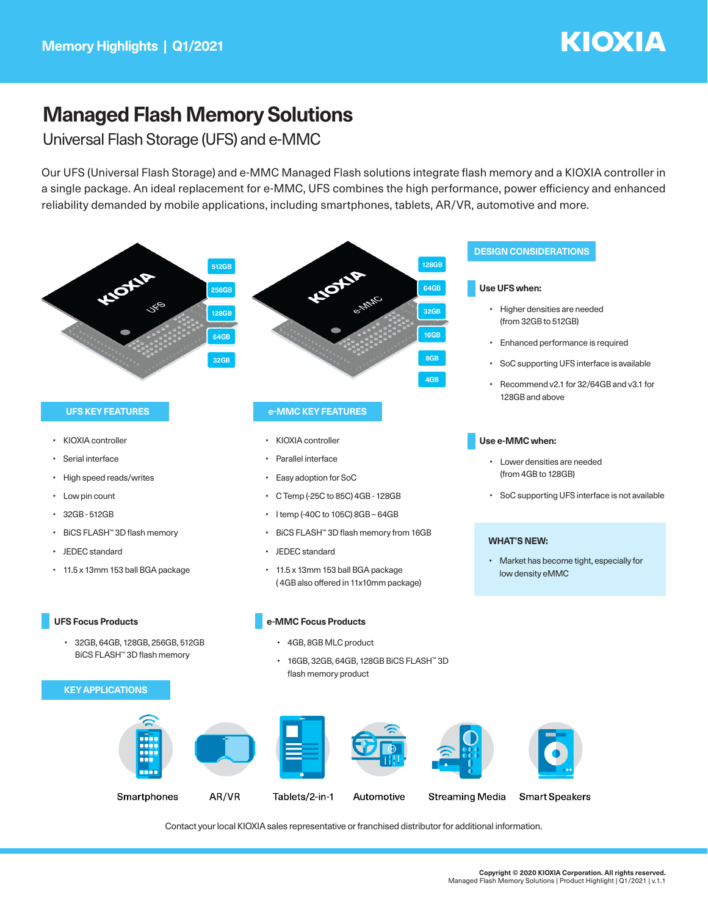## **KIOXIA**

## **Managed Flash Memory Solutions**

Universal Flash Storage (UFS) and e-MMC

Our UFS (Universal Flash Storage) and e-MMC Managed Flash solutions integrate flash memory and a KIOXIA controller in a single package. An ideal replacement for e-MMC, UFS combines the high performance, power efficiency and enhanced reliability demanded by mobile applications, including smartphones, tablets, AR/VR, automotive and more.